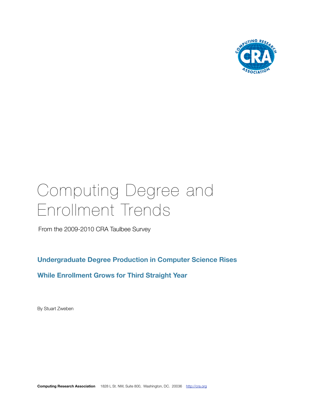

# Computing Degree and Enrollment Trends

From the 2009-2010 CRA Taulbee Survey

**Undergraduate Degree Production in Computer Science Rises**

**While Enrollment Grows for Third Straight Year**

By Stuart Zweben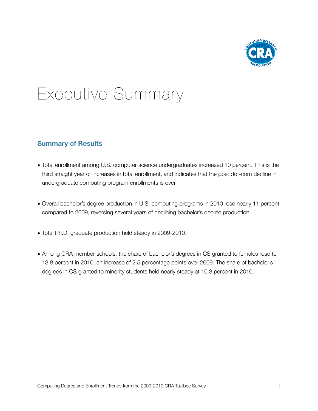

## Executive Summary

### **Summary of Results**

- Total enrollment among U.S. computer science undergraduates increased 10 percent. This is the third straight year of increases in total enrollment, and indicates that the post dot-com decline in undergraduate computing program enrollments is over.
- Overall bachelor's degree production in U.S. computing programs in 2010 rose nearly 11 percent compared to 2009, reversing several years of declining bachelor's degree production.
- Total Ph.D. graduate production held steady in 2009-2010.
- Among CRA member schools, the share of bachelor's degrees in CS granted to females rose to 13.8 percent in 2010, an increase of 2.5 percentage points over 2009. The share of bachelor's degrees in CS granted to minority students held nearly steady at 10.3 percent in 2010.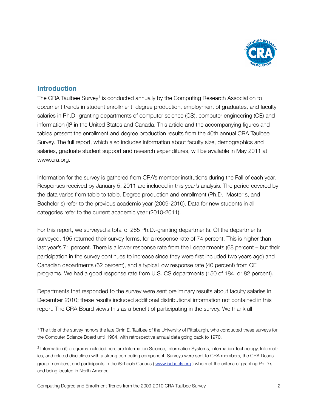

#### **Introduction**

The CRA Taulbee Survey<sup>1</sup> is conducted annually by the Computing Research Association to document trends in student enrollment, degree production, employment of graduates, and faculty salaries in Ph.D.-granting departments of computer science (CS), computer engineering (CE) and information  $(I)^2$  in the United States and Canada. This article and the accompanying figures and tables present the enrollment and degree production results from the 40th annual CRA Taulbee Survey. The full report, which also includes information about faculty size, demographics and salaries, graduate student support and research expenditures, will be available in May 2011 at w[ww.cra.org.](http://www.cra.org)

Information for the survey is gathered from CRA's member institutions during the Fall of each year. Responses received by January 5, 2011 are included in this year's analysis. The period covered by the data varies from table to table. Degree production and enrollment (Ph.D., Master's, and Bachelor's) refer to the previous academic year (2009-2010). Data for new students in all categories refer to the current academic year (2010-2011).

For this report, we surveyed a total of 265 Ph.D.-granting departments. Of the departments surveyed, 195 returned their survey forms, for a response rate of 74 percent. This is higher than last year's 71 percent. There is a lower response rate from the I departments (68 percent – but their participation in the survey continues to increase since they were first included two years ago) and Canadian departments (62 percent), and a typical low response rate (40 percent) from CE programs. We had a good response rate from U.S. CS departments (150 of 184, or 82 percent).

Departments that responded to the survey were sent preliminary results about faculty salaries in December 2010; these results included additional distributional information not contained in this report. The CRA Board views this as a benefit of participating in the survey. We thank all

<span id="page-2-0"></span><sup>1</sup> The title of the survey honors the late Orrin E. Taulbee of the University of Pittsburgh, who conducted these surveys for the Computer Science Board until 1984, with retrospective annual data going back to 1970.

<span id="page-2-1"></span><sup>&</sup>lt;sup>2</sup> Information (I) programs included here are Information Science, Information Systems, Information Technology, Informatics, and related disciplines with a strong computing component. Surveys were sent to CRA members, the CRA Deans group members, and participants in the iSchools Caucus ( [www.ischools.org](http://www.ischools.org) ) who met the criteria of granting Ph.D.s and being located in North America.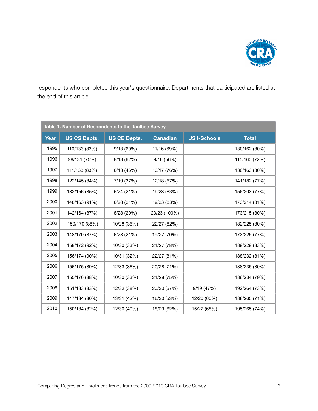

respondents who completed this year's questionnaire. Departments that participated are listed at the end of this article.

|      | Table 1. Number of Respondents to the Taulbee Survey |                     |                 |                     |               |
|------|------------------------------------------------------|---------------------|-----------------|---------------------|---------------|
| Year | <b>US CS Depts.</b>                                  | <b>US CE Depts.</b> | <b>Canadian</b> | <b>US I-Schools</b> | <b>Total</b>  |
| 1995 | 110/133 (83%)                                        | 9/13 (69%)          | 11/16 (69%)     |                     | 130/162 (80%) |
| 1996 | 98/131 (75%)                                         | 8/13 (62%)          | 9/16(56%)       |                     | 115/160 (72%) |
| 1997 | 111/133 (83%)                                        | 6/13(46%)           | 13/17 (76%)     |                     | 130/163 (80%) |
| 1998 | 122/145 (84%)                                        | 7/19 (37%)          | 12/18 (67%)     |                     | 141/182 (77%) |
| 1999 | 132/156 (85%)                                        | 5/24 (21%)          | 19/23 (83%)     |                     | 156/203 (77%) |
| 2000 | 148/163 (91%)                                        | 6/28 (21%)          | 19/23 (83%)     |                     | 173/214 (81%) |
| 2001 | 142/164 (87%)                                        | 8/28 (29%)          | 23/23 (100%)    |                     | 173/215 (80%) |
| 2002 | 150/170 (88%)                                        | 10/28 (36%)         | 22/27 (82%)     |                     | 182/225 (80%) |
| 2003 | 148/170 (87%)                                        | 6/28 (21%)          | 19/27 (70%)     |                     | 173/225 (77%) |
| 2004 | 158/172 (92%)                                        | 10/30 (33%)         | 21/27 (78%)     |                     | 189/229 (83%) |
| 2005 | 156/174 (90%)                                        | 10/31 (32%)         | 22/27 (81%)     |                     | 188/232 (81%) |
| 2006 | 156/175 (89%)                                        | 12/33 (36%)         | 20/28 (71%)     |                     | 188/235 (80%) |
| 2007 | 155/176 (88%)                                        | 10/30 (33%)         | 21/28 (75%)     |                     | 186/234 (79%) |
| 2008 | 151/183 (83%)                                        | 12/32 (38%)         | 20/30 (67%)     | 9/19 (47%)          | 192/264 (73%) |
| 2009 | 147/184 (80%)                                        | 13/31 (42%)         | 16/30 (53%)     | 12/20 (60%)         | 188/265 (71%) |
| 2010 | 150/184 (82%)                                        | 12/30 (40%)         | 18/29 (62%)     | 15/22 (68%)         | 195/265 (74%) |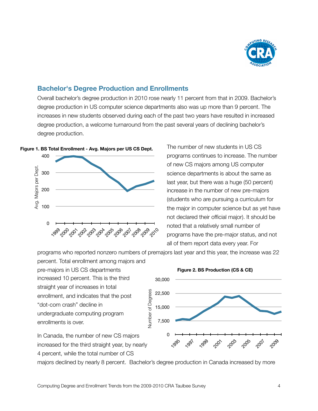

#### **Bachelor's Degree Production and Enrollments**

Overall bachelor's degree production in 2010 rose nearly 11 percent from that in 2009. Bachelor's degree production in US computer science departments also was up more than 9 percent. The increases in new students observed during each of the past two years have resulted in increased degree production, a welcome turnaround from the past several years of declining bachelor's degree production.

**Figure 1. BS Total Enrollment - Avg. Majors per US CS Dept.**



The number of new students in US CS programs continues to increase. The number of new CS majors among US computer science departments is about the same as last year, but there was a huge (50 percent) increase in the number of new pre-majors (students who are pursuing a curriculum for the major in computer science but as yet have not declared their official major). It should be noted that a relatively small number of programs have the pre-major status, and not all of them report data every year. For

programs who reported nonzero numbers of premajors last year and this year, the increase was 22

percent. Total enrollment among majors and pre-majors in US CS departments increased 10 percent. This is the third straight year of increases in total enrollment, and indicates that the post "dot-com crash" decline in undergraduate computing program enrollments is over.

In Canada, the number of new CS majors increased for the third straight year, by nearly 4 percent, while the total number of CS



majors declined by nearly 8 percent. Bachelor's degree production in Canada increased by more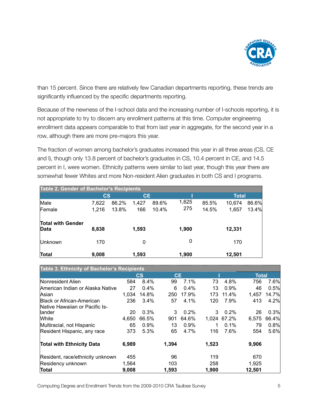

than 15 percent. Since there are relatively few Canadian departments reporting, these trends are significantly influenced by the specific departments reporting.

Because of the newness of the I-school data and the increasing number of I-schools reporting, it is not appropriate to try to discern any enrollment patterns at this time. Computer engineering enrollment data appears comparable to that from last year in aggregate, for the second year in a row, although there are more pre-majors this year.

The fraction of women among bachelor's graduates increased this year in all three areas (CS, CE and I), though only 13.8 percent of bachelor's graduates in CS, 10.4 percent in CE, and 14.5 percent in I, were women. Ethnicity patterns were similar to last year, though this year there are somewhat fewer Whites and more Non-resident Alien graduates in both CS and I programs.

| Table 2. Gender of Bachelor's Recipients |           |       |           |       |       |       |              |       |
|------------------------------------------|-----------|-------|-----------|-------|-------|-------|--------------|-------|
|                                          | <b>CS</b> |       | <b>CE</b> |       |       |       | <b>Total</b> |       |
| Male                                     | 7,622     | 86.2% | 1,427     | 89.6% | 1,625 | 85.5% | 10,674       | 86.6% |
| Female                                   | 1,216     | 13.8% | 166       | 10.4% | 275   | 14.5% | 1,657        | 13.4% |
| <b>Total with Gender</b><br>Data         | 8,838     |       | 1,593     |       | 1,900 |       | 12,331       |       |
| Unknown                                  | 170       |       | 0         |       | 0     |       | 170          |       |
| Total                                    | 9,008     |       | 1,593     |       | 1,900 |       | 12,501       |       |

| Table 3. Ethnicity of Bachelor's Recipients |       |        |           |         |       |             |              |       |
|---------------------------------------------|-------|--------|-----------|---------|-------|-------------|--------------|-------|
|                                             |       | $\csc$ | <b>CE</b> |         |       |             | <b>Total</b> |       |
| Nonresident Alien                           | 584   | 8.4%   | 99        | 7.1%    | 73    | 4.8%        | 756          | 7.6%  |
| American Indian or Alaska Native            | 27    | 0.4%   | 6         | $0.4\%$ | 13    | 0.9%        | 46           | 0.5%  |
| Asian                                       | 1,034 | 14.8%  | 250       | 17.9%   | 173   | 11.4%       | 1,457        | 14.7% |
| Black or African-American                   | 236   | 3.4%   | 57        | 4.1%    | 120   | 7.9%        | 413          | 4.2%  |
| Native Hawaiian or Pacific Is-              |       |        |           |         |       |             |              |       |
| llander                                     | 20    | 0.3%   | 3         | 0.2%    | 3     | 0.2%        | 26           | 0.3%  |
| <b>White</b>                                | 4,650 | 66.5%  | 901       | 64.6%   |       | 1,024 67.2% | 6,575        | 66.4% |
| Multiracial, not Hispanic                   | 65    | 0.9%   | 13        | 0.9%    | 1     | 0.1%        | 79           | 0.8%  |
| Resident Hispanic, any race                 | 373   | 5.3%   | 65        | 4.7%    | 116   | 7.6%        | 554          | 5.6%  |
| <b>Total with Ethnicity Data</b>            | 6,989 |        | 1,394     |         | 1,523 |             | 9,906        |       |
| Resident, race/ethnicity unknown            | 455   |        | 96        |         | 119   |             | 670          |       |
| Residency unknown                           | 1,564 |        | 103       |         | 258   |             | 1,925        |       |
| Total                                       | 9,008 |        | 1,593     |         | 1,900 |             | 12,501       |       |

Computing Degree and Enrollment Trends from the 2009-2010 CRA Taulbee Survey 5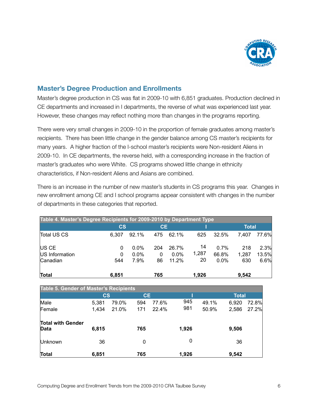

#### **Master's Degree Production and Enrollments**

Master's degree production in CS was flat in 2009-10 with 6,851 graduates. Production declined in CE departments and increased in I departments, the reverse of what was experienced last year. However, these changes may reflect nothing more than changes in the programs reporting.

There were very small changes in 2009-10 in the proportion of female graduates among master's recipients. There has been little change in the gender balance among CS master's recipients for many years. A higher fraction of the I-school master's recipients were Non-resident Aliens in 2009-10. In CE departments, the reverse held, with a corresponding increase in the fraction of master's graduates who were White. CS programs showed little change in ethnicity characteristics, if Non-resident Aliens and Asians are combined.

There is an increase in the number of new master's students in CS programs this year. Changes in new enrollment among CE and I school programs appear consistent with changes in the number of departments in these categories that reported.

| Table 4. Master's Degree Recipients for 2009-2010 by Department Type |        |         |           |       |       |       |              |       |
|----------------------------------------------------------------------|--------|---------|-----------|-------|-------|-------|--------------|-------|
|                                                                      | $\csc$ |         | <b>CE</b> |       |       |       | <b>Total</b> |       |
| Total US CS                                                          | 6.307  | 92.1%   | 475       | 62.1% | 625   | 32.5% | 7.407        | 77.6% |
| US CE                                                                | 0      | $0.0\%$ | 204       | 26.7% | 14    | 0.7%  | 218          | 2.3%  |
| US Information                                                       | 0      | $0.0\%$ | 0         | 0.0%  | 1,287 | 66.8% | 1,287        | 13.5% |
| Canadian                                                             | 544    | 7.9%    | 86        | 11.2% | 20    | 0.0%  | 630          | 6.6%  |
| Total                                                                | 6.851  |         | 765       |       | 1.926 |       | 9.542        |       |

| <b>Table 5. Gender of Master's Recipients</b> |                        |       |           |       |       |       |              |       |
|-----------------------------------------------|------------------------|-------|-----------|-------|-------|-------|--------------|-------|
|                                               | $\mathbf{c}\mathbf{s}$ |       | <b>CE</b> |       |       |       | <b>Total</b> |       |
| Male                                          | 5,381                  | 79.0% | 594       | 77.6% | 945   | 49.1% | 6,920        | 72.8% |
| Female                                        | 1,434                  | 21.0% | 171       | 22.4% | 981   | 50.9% | 2,586        | 27.2% |
| <b>Total with Gender</b><br>Data              | 6,815                  |       | 765       |       | 1,926 |       | 9,506        |       |
| Unknown                                       | 36                     |       | 0         |       | 0     |       | 36           |       |
| Total                                         | 6,851                  |       | 765       |       | 1,926 |       | 9,542        |       |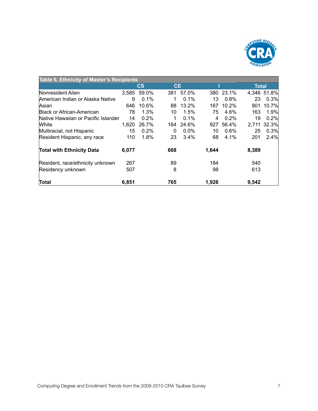

| <b>Table 6. Ethnicity of Master's Recipients</b> |       |                        |              |         |       |           |              |             |
|--------------------------------------------------|-------|------------------------|--------------|---------|-------|-----------|--------------|-------------|
|                                                  |       | $\mathbf{c}\mathbf{s}$ | <b>CE</b>    |         |       |           | <b>Total</b> |             |
| Nonresident Alien                                | 3,585 | 59.0%                  | 381          | 57.0%   |       | 380 23.1% |              | 4,346 51.8% |
| American Indian or Alaska Native                 | 9     | $0.1\%$                |              | 0.1%    | 13    | $0.8\%$   | 23           | 0.3%        |
| Asian                                            | 646   | 10.6%                  | 88           | 13.2%   | 167   | 10.2%     | 901          | 10.7%       |
| <b>Black or African-American</b>                 | 78    | 1.3%                   | 10           | 1.5%    | 75    | 4.6%      | 163          | 1.9%        |
| Native Hawaiian or Pacific Islander              | 14    | 0.2%                   | 1            | 0.1%    | 4     | 0.2%      | 19           | 0.2%        |
| <b>White</b>                                     | 1,620 | 26.7%                  | 164          | 24.6%   | 927   | 56.4%     | 2.711        | 32.3%       |
| Multiracial, not Hispanic                        | 15    | 0.2%                   | $\mathbf{0}$ | $0.0\%$ | 10    | $0.6\%$   | 25           | 0.3%        |
| Resident Hispanic, any race                      | 110   | 1.8%                   | 23           | 3.4%    | 68    | 4.1%      | 201          | 2.4%        |
| <b>Total with Ethnicity Data</b>                 | 6,077 |                        | 668          |         | 1,644 |           | 8,389        |             |
| Resident, race/ethnicity unknown                 | 267   |                        | 89           |         | 184   |           | 540          |             |
| Residency unknown                                | 507   |                        | 8            |         | 98    |           | 613          |             |
| Total                                            | 6.851 |                        | 765          |         | 1.926 |           | 9,542        |             |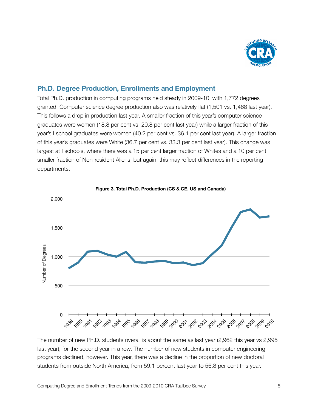

#### **Ph.D. Degree Production, Enrollments and Employment**

Total Ph.D. production in computing programs held steady in 2009-10, with 1,772 degrees granted. Computer science degree production also was relatively flat (1,501 vs. 1,468 last year). This follows a drop in production last year. A smaller fraction of this year's computer science graduates were women (18.8 per cent vs. 20.8 per cent last year) while a larger fraction of this year's I school graduates were women (40.2 per cent vs. 36.1 per cent last year). A larger fraction of this year's graduates were White (36.7 per cent vs. 33.3 per cent last year). This change was largest at I schools, where there was a 15 per cent larger fraction of Whites and a 10 per cent smaller fraction of Non-resident Aliens, but again, this may reflect differences in the reporting departments.



The number of new Ph.D. students overall is about the same as last year (2,962 this year vs 2,995 last year), for the second year in a row. The number of new students in computer engineering programs declined, however. This year, there was a decline in the proportion of new doctoral students from outside North America, from 59.1 percent last year to 56.8 per cent this year.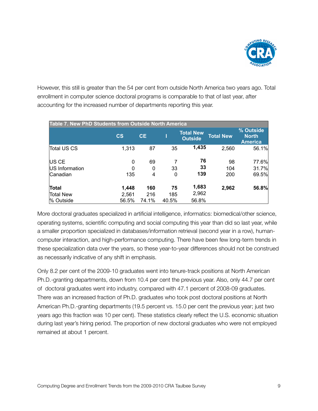

However, this still is greater than the 54 per cent from outside North America two years ago. Total enrollment in computer science doctoral programs is comparable to that of last year, after accounting for the increased number of departments reporting this year.

| Table 7. New PhD Students from Outside North America |                        |           |         |                                    |                  |                                             |
|------------------------------------------------------|------------------------|-----------|---------|------------------------------------|------------------|---------------------------------------------|
|                                                      | $\mathbf{c}\mathbf{s}$ | <b>CE</b> | Π       | <b>Total New</b><br><b>Outside</b> | <b>Total New</b> | % Outside<br><b>North</b><br><b>America</b> |
| <b>Total US CS</b>                                   | 1,313                  | 87        | 35      | 1,435                              | 2,560            | 56.1%                                       |
| <b>IUS CE</b>                                        | 0                      | 69        | 7       | 76<br>33                           | 98               | 77.6%                                       |
| US Information<br>Canadian                           | 0<br>135               | 0<br>4    | 33<br>0 | 139                                | 104<br>200       | 31.7%<br>69.5%                              |
| Total                                                | 1,448                  | 160       | 75      | 1,683                              | 2,962            | 56.8%                                       |
| Total New                                            | 2,561                  | 216       | 185     | 2,962                              |                  |                                             |
| % Outside                                            | 56.5%                  | 74.1%     | 40.5%   | 56.8%                              |                  |                                             |

More doctoral graduates specialized in artificial intelligence, informatics: biomedical/other science, operating systems, scientific computing and social computing this year than did so last year, while a smaller proportion specialized in databases/information retrieval (second year in a row), humancomputer interaction, and high-performance computing. There have been few long-term trends in these specialization data over the years, so these year-to-year differences should not be construed as necessarily indicative of any shift in emphasis.

Only 8.2 per cent of the 2009-10 graduates went into tenure-track positions at North American Ph.D.-granting departments, down from 10.4 per cent the previous year. Also, only 44.7 per cent of doctoral graduates went into industry, compared with 47.1 percent of 2008-09 graduates. There was an increased fraction of Ph.D. graduates who took post doctoral positions at North American Ph.D.-granting departments (19.5 percent vs. 15.0 per cent the previous year; just two years ago this fraction was 10 per cent). These statistics clearly reflect the U.S. economic situation during last year's hiring period. The proportion of new doctoral graduates who were not employed remained at about 1 percent.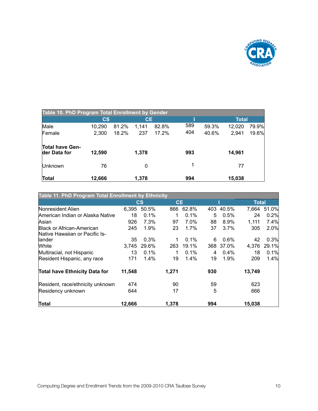

| Table 10. PhD Program Total Enrollment by Gender |                        |       |           |       |     |       |              |       |
|--------------------------------------------------|------------------------|-------|-----------|-------|-----|-------|--------------|-------|
|                                                  | $\mathbf{c}\mathbf{s}$ |       | <b>CE</b> |       |     |       | <b>Total</b> |       |
| Male                                             | 10,290                 | 81.2% | 1.141     | 82.8% | 589 | 59.3% | 12,020       | 79.9% |
| Female                                           | 2,300                  | 18.2% | 237       | 17.2% | 404 | 40.6% | 2,941        | 19.6% |
| <b>Total have Gen-</b><br>der Data for           | 12,590                 |       | 1,378     |       | 993 |       | 14,961       |       |
| Unknown                                          | 76                     |       | 0         |       | 1   |       | 77           |       |
| Total                                            | 12,666                 |       | 1,378     |       | 994 |       | 15,038       |       |

| Table 11. PhD Program Total Enrollment by Ethnicity         |        |         |           |         |     |           |              |       |
|-------------------------------------------------------------|--------|---------|-----------|---------|-----|-----------|--------------|-------|
|                                                             |        | cs      | <b>CE</b> |         |     |           | <b>Total</b> |       |
| Nonresident Alien                                           | 6,395  | 50.5%   | 866       | 62.8%   | 403 | 40.5%     | 7,664        | 51.0% |
| American Indian or Alaska Native                            | 18     | $0.1\%$ | 1         | $0.1\%$ | 5   | 0.5%      | 24           | 0.2%  |
| Asian                                                       | 926    | 7.3%    | 97        | 7.0%    | 88  | 8.9%      | 1,111        | 7.4%  |
| Black or African-American<br>Native Hawaiian or Pacific Is- | 245    | 1.9%    | 23        | 1.7%    | 37  | 3.7%      | 305          | 2.0%  |
| llander                                                     | 35     | 0.3%    | 1         | $0.1\%$ | 6   | 0.6%      | 42           | 0.3%  |
| White                                                       | 3,745  | 29.6%   | 263       | 19.1%   |     | 368 37.0% | 4,376        | 29.1% |
| Multiracial, not Hispanic                                   | 13     | 0.1%    | 1         | $0.1\%$ | 4   | $0.4\%$   | 18           | 0.1%  |
| Resident Hispanic, any race                                 | 171    | 1.4%    | 19        | 1.4%    | 19  | 1.9%      | 209          | 1.4%  |
| <b>Total have Ethnicity Data for</b>                        | 11,548 |         | 1,271     |         | 930 |           | 13,749       |       |
| Resident, race/ethnicity unknown                            | 474    |         | 90        |         | 59  |           | 623          |       |
| Residency unknown                                           | 644    |         | 17        |         | 5   |           | 666          |       |
| Total                                                       | 12,666 |         | 1,378     |         | 994 |           | 15,038       |       |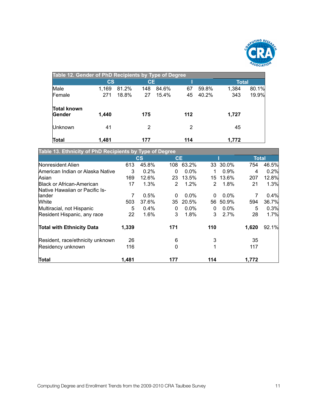

| Table 12. Gender of PhD Recipients by Type of Degree |                        |       |           |       |     |       |              |       |
|------------------------------------------------------|------------------------|-------|-----------|-------|-----|-------|--------------|-------|
|                                                      | $\mathbf{c}\mathbf{s}$ |       | <b>CE</b> |       |     |       | <b>Total</b> |       |
| Male                                                 | 1,169                  | 81.2% | 148       | 84.6% | 67  | 59.8% | 1,384        | 80.1% |
| Female                                               | 271                    | 18.8% | 27        | 15.4% | 45  | 40.2% | 343          | 19.9% |
| Total known                                          |                        |       |           |       |     |       |              |       |
| Gender                                               | 1,440                  |       | 175       |       | 112 |       | 1,727        |       |
| <b>Unknown</b>                                       | 41                     |       | 2         |       | 2   |       | 45           |       |
| <b>Total</b>                                         | 1,481                  |       | 177       |       | 114 |       | 1,772        |       |

| Table 13. Ethnicity of PhD Recipients by Type of Degree |       |                        |           |         |     |       |              |       |
|---------------------------------------------------------|-------|------------------------|-----------|---------|-----|-------|--------------|-------|
|                                                         |       | $\mathbf{c}\mathbf{s}$ | <b>CE</b> |         |     |       | <b>Total</b> |       |
| Nonresident Alien                                       | 613   | 45.8%                  | 108       | 63.2%   | 33  | 30.0% | 754          | 46.5% |
| American Indian or Alaska Native                        | 3     | 0.2%                   | $\Omega$  | $0.0\%$ |     | 0.9%  | 4            | 0.2%  |
| Asian                                                   | 169   | 12.6%                  | 23        | 13.5%   | 15  | 13.6% | 207          | 12.8% |
| <b>Black or African-American</b>                        | 17    | 1.3%                   | 2         | 1.2%    | 2   | 1.8%  | 21           | 1.3%  |
| Native Hawaiian or Pacific Is-                          |       |                        |           |         |     |       |              |       |
| llander                                                 | 7     | 0.5%                   | $\Omega$  | $0.0\%$ | 0   | 0.0%  | 7            | 0.4%  |
| <b>White</b>                                            | 503   | 37.6%                  | 35        | 20.5%   | 56  | 50.9% | 594          | 36.7% |
| Multiracial, not Hispanic                               | 5     | 0.4%                   | $\Omega$  | $0.0\%$ | 0   | 0.0%  | 5            | 0.3%  |
| Resident Hispanic, any race                             | 22    | 1.6%                   | 3         | 1.8%    | 3   | 2.7%  | 28           | 1.7%  |
| <b>Total with Ethnicity Data</b>                        | 1,339 |                        | 171       |         | 110 |       | 1,620        | 92.1% |
| Resident, race/ethnicity unknown                        | 26    |                        | 6         |         | 3   |       | 35           |       |
| Residency unknown                                       | 116   |                        | $\Omega$  |         |     |       | 117          |       |
| Total                                                   | 1,481 |                        | 177       |         | 114 |       | 1,772        |       |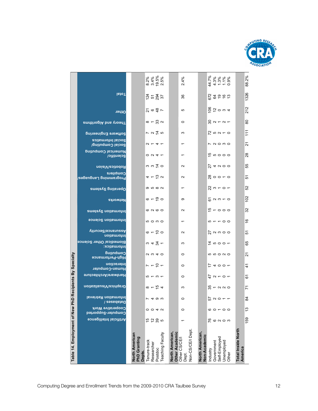

| Compilers<br>$4 - 5a$<br>51<br>$\frac{80}{80}$ 0 0 $-$ 0<br>$\boldsymbol{\sim}$<br>Programming Languagos/<br>52<br>$\alpha$ $\alpha$ $\alpha$ $\alpha$ $\alpha$<br>0 10 10 N<br>Dperating Systems<br>$\overline{\phantom{0}}$<br>102<br>$\circ$ $\frac{1}{2}$ $\circ$<br>$5 \times 7$<br>ၜ<br><b>Networks</b><br>32<br>$\frac{16}{10}$ + 000<br>$\circ$ $\circ$ $\circ$<br>$\boldsymbol{\sim}$<br>Information Systems<br>Information Science<br>$\frac{6}{5}$<br><b>5000</b><br>$0 - 70$<br>$\overline{\phantom{m}}$<br>Assurance/Security<br>$\circ$ $\circ$ $\circ$<br>$\frac{1}{2}$ $\alpha$ $\beta$ $\beta$ $\alpha$<br>51<br>$\mathbf{\Omega}$<br>Information | 111<br>$\sim \alpha \leq v$<br>$\sum_{k=1}^{N}$ is $\alpha$ + 0<br>S<br>Software Engineering<br><b>Social Informatics</b><br>$\overline{21}$<br>$P$ $Q$ $Q$ $Q$ $Q$<br>$\alpha - 4 -$<br>$\overline{\phantom{0}}$<br>Social Computing/<br><b>Numerical Computing</b><br>28<br>50000<br>$0$ $0$ $4$ $-$<br>$\overline{\phantom{0}}$<br>Scientific/<br>55<br>33は0<br>$\frac{1}{2}$ + $\sim$ 00<br>$\sim$<br>Robotics/Vision |
|--------------------------------------------------------------------------------------------------------------------------------------------------------------------------------------------------------------------------------------------------------------------------------------------------------------------------------------------------------------------------------------------------------------------------------------------------------------------------------------------------------------------------------------------------------------------------------------------------------------------------------------------------------------------|---------------------------------------------------------------------------------------------------------------------------------------------------------------------------------------------------------------------------------------------------------------------------------------------------------------------------------------------------------------------------------------------------------------------------|
|                                                                                                                                                                                                                                                                                                                                                                                                                                                                                                                                                                                                                                                                    |                                                                                                                                                                                                                                                                                                                                                                                                                           |
|                                                                                                                                                                                                                                                                                                                                                                                                                                                                                                                                                                                                                                                                    |                                                                                                                                                                                                                                                                                                                                                                                                                           |
|                                                                                                                                                                                                                                                                                                                                                                                                                                                                                                                                                                                                                                                                    |                                                                                                                                                                                                                                                                                                                                                                                                                           |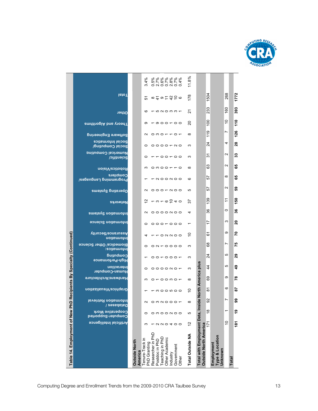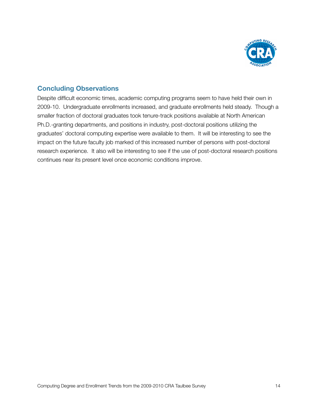

#### **Concluding Observations**

Despite difficult economic times, academic computing programs seem to have held their own in 2009-10. Undergraduate enrollments increased, and graduate enrollments held steady. Though a smaller fraction of doctoral graduates took tenure-track positions available at North American Ph.D.-granting departments, and positions in industry, post-doctoral positions utilizing the graduates' doctoral computing expertise were available to them. It will be interesting to see the impact on the future faculty job marked of this increased number of persons with post-doctoral research experience. It also will be interesting to see if the use of post-doctoral research positions continues near its present level once economic conditions improve.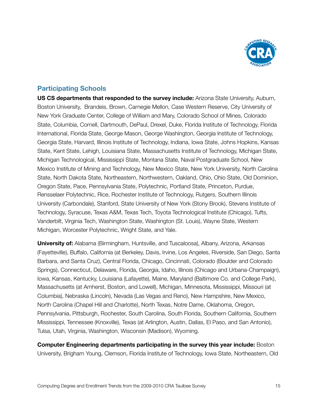

#### **Participating Schools**

**US CS departments that responded to the survey include:** Arizona State University, Auburn, Boston University, Brandeis, Brown, Carnegie Mellon, Case Western Reserve, City University of New York Graduate Center, College of William and Mary, Colorado School of Mines, Colorado State, Columbia, Cornell, Dartmouth, DePaul, Drexel, Duke, Florida Institute of Technology, Florida International, Florida State, George Mason, George Washington, Georgia Institute of Technology, Georgia State, Harvard, Illinois Institute of Technology, Indiana, Iowa State, Johns Hopkins, Kansas State, Kent State, Lehigh, Louisiana State, Massachusetts Institute of Technology, Michigan State, Michigan Technological, Mississippi State, Montana State, Naval Postgraduate School, New Mexico Institute of Mining and Technology, New Mexico State, New York University, North Carolina State, North Dakota State, Northeastern, Northwestern, Oakland, Ohio, Ohio State, Old Dominion, Oregon State, Pace, Pennsylvania State, Polytechnic, Portland State, Princeton, Purdue, Rensselaer Polytechnic, Rice, Rochester Institute of Technology, Rutgers, Southern Illinois University (Carbondale), Stanford, State University of New York (Stony Brook), Stevens Institute of Technology, Syracuse, Texas A&M, Texas Tech, Toyota Technological Institute (Chicago), Tufts, Vanderbilt, Virginia Tech, Washington State, Washington (St. Louis), Wayne State, Western Michigan, Worcester Polytechnic, Wright State, and Yale.

**University of:** Alabama (Birmingham, Huntsville, and Tuscaloosa), Albany, Arizona, Arkansas (Fayetteville), Buffalo, California (at Berkeley, Davis, Irvine, Los Angeles, Riverside, San Diego, Santa Barbara, and Santa Cruz), Central Florida, Chicago, Cincinnati, Colorado (Boulder and Colorado Springs), Connecticut, Delaware, Florida, Georgia, Idaho, Illinois (Chicago and Urbana-Champaign), Iowa, Kansas, Kentucky, Louisiana (Lafayette), Maine, Maryland (Baltimore Co. and College Park), Massachusetts (at Amherst, Boston, and Lowell), Michigan, Minnesota, Mississippi, Missouri (at Columbia), Nebraska (Lincoln), Nevada (Las Vegas and Reno), New Hampshire, New Mexico, North Carolina (Chapel Hill and Charlotte), North Texas, Notre Dame, Oklahoma, Oregon, Pennsylvania, Pittsburgh, Rochester, South Carolina, South Florida, Southern California, Southern Mississippi, Tennessee (Knoxville), Texas (at Arlington, Austin, Dallas, El Paso, and San Antonio), Tulsa, Utah, Virginia, Washington, Wisconsin (Madison), Wyoming.

**Computer Engineering departments participating in the survey this year include:** Boston University, Brigham Young, Clemson, Florida Institute of Technology, Iowa State, Northeastern, Old